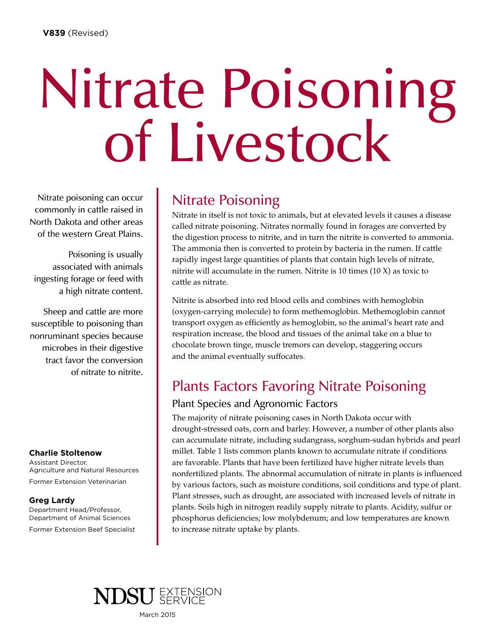# Nitrate Poisoning<br>of Livestock

Nitrate poisoning can occur commonly in cattle raised in North Dakota and other areas of the western Great Plains.

Poisoning is usually associated with animals ingesting forage or feed with a high nitrate content.

Sheep and cattle are more susceptible to poisoning than nonruminant species because microbes in their digestive tract favor the conversion of nitrate to nitrite.

#### **Charlie Stoltenow**

Assistant Director, Agriculture and Natural Resources Former Extension Veterinarian

#### **Greg Lardy**

Department Head/Professor, Department of Animal Sciences Former Extension Beef Specialist

## Nitrate Poisoning

Nitrate in itself is not toxic to animals, but at elevated levels it causes a disease called nitrate poisoning. Nitrates normally found in forages are converted by the digestion process to nitrite, and in turn the nitrite is converted to ammonia. The ammonia then is converted to protein by bacteria in the rumen. If cattle rapidly ingest large quantities of plants that contain high levels of nitrate, nitrite will accumulate in the rumen. Nitrite is 10 times (10 X) as toxic to cattle as nitrate.

Nitrite is absorbed into red blood cells and combines with hemoglobin (oxygen-carrying molecule) to form methemoglobin. Methemoglobin cannot transport oxygen as efficiently as hemoglobin, so the animal's heart rate and respiration increase, the blood and tissues of the animal take on a blue to chocolate brown tinge, muscle tremors can develop, staggering occurs and the animal eventually suffocates.

## Plants Factors Favoring Nitrate Poisoning

#### Plant Species and Agronomic Factors

The majority of nitrate poisoning cases in North Dakota occur with drought-stressed oats, corn and barley. However, a number of other plants also can accumulate nitrate, including sudangrass, sorghum-sudan hybrids and pearl millet. Table 1 lists common plants known to accumulate nitrate if conditions are favorable. Plants that have been fertilized have higher nitrate levels than nonfertilized plants. The abnormal accumulation of nitrate in plants is influenced by various factors, such as moisture conditions, soil conditions and type of plant. Plant stresses, such as drought, are associated with increased levels of nitrate in plants. Soils high in nitrogen readily supply nitrate to plants. Acidity, sulfur or phosphorus deficiencies; low molybdenum; and low temperatures are known to increase nitrate uptake by plants.



March 2015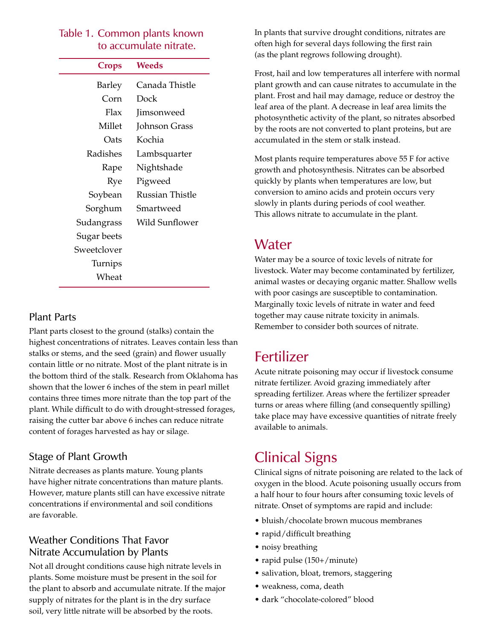#### Table 1. Common plants known to accumulate nitrate.

| Crops       | Weeds                 |
|-------------|-----------------------|
| Barley      | Canada Thistle        |
| Corn        | Dock                  |
| Flax        | Jimsonweed            |
| Millet      | Johnson Grass         |
| Oats        | Kochia                |
| Radishes    | Lambsquarter          |
| Rape        | Nightshade            |
| Rye         | Pigweed               |
| Soybean     | Russian Thistle       |
| Sorghum     | Smartweed             |
| Sudangrass  | <b>Wild Sunflower</b> |
| Sugar beets |                       |
| Sweetclover |                       |
| Turnips     |                       |
| Wheat       |                       |

#### Plant Parts

Plant parts closest to the ground (stalks) contain the highest concentrations of nitrates. Leaves contain less than stalks or stems, and the seed (grain) and flower usually contain little or no nitrate. Most of the plant nitrate is in the bottom third of the stalk. Research from Oklahoma has shown that the lower 6 inches of the stem in pearl millet contains three times more nitrate than the top part of the plant. While difficult to do with drought-stressed forages, raising the cutter bar above 6 inches can reduce nitrate content of forages harvested as hay or silage.

#### Stage of Plant Growth

Nitrate decreases as plants mature. Young plants have higher nitrate concentrations than mature plants. However, mature plants still can have excessive nitrate concentrations if environmental and soil conditions are favorable.

#### Weather Conditions That Favor Nitrate Accumulation by Plants

Not all drought conditions cause high nitrate levels in plants. Some moisture must be present in the soil for the plant to absorb and accumulate nitrate. If the major supply of nitrates for the plant is in the dry surface soil, very little nitrate will be absorbed by the roots.

In plants that survive drought conditions, nitrates are often high for several days following the first rain (as the plant regrows following drought).

Frost, hail and low temperatures all interfere with normal plant growth and can cause nitrates to accumulate in the plant. Frost and hail may damage, reduce or destroy the leaf area of the plant. A decrease in leaf area limits the photosynthetic activity of the plant, so nitrates absorbed by the roots are not converted to plant proteins, but are accumulated in the stem or stalk instead.

Most plants require temperatures above 55 F for active growth and photosynthesis. Nitrates can be absorbed quickly by plants when temperatures are low, but conversion to amino acids and protein occurs very slowly in plants during periods of cool weather. This allows nitrate to accumulate in the plant.

## Water

Water may be a source of toxic levels of nitrate for livestock. Water may become contaminated by fertilizer, animal wastes or decaying organic matter. Shallow wells with poor casings are susceptible to contamination. Marginally toxic levels of nitrate in water and feed together may cause nitrate toxicity in animals. Remember to consider both sources of nitrate.

## Fertilizer

Acute nitrate poisoning may occur if livestock consume nitrate fertilizer. Avoid grazing immediately after spreading fertilizer. Areas where the fertilizer spreader turns or areas where filling (and consequently spilling) take place may have excessive quantities of nitrate freely available to animals.

# Clinical Signs

Clinical signs of nitrate poisoning are related to the lack of oxygen in the blood. Acute poisoning usually occurs from a half hour to four hours after consuming toxic levels of nitrate. Onset of symptoms are rapid and include:

- • bluish/chocolate brown mucous membranes
- rapid/difficult breathing
- noisy breathing
- rapid pulse (150+/minute)
- salivation, bloat, tremors, staggering
- • weakness, coma, death
- • dark "chocolate-colored" blood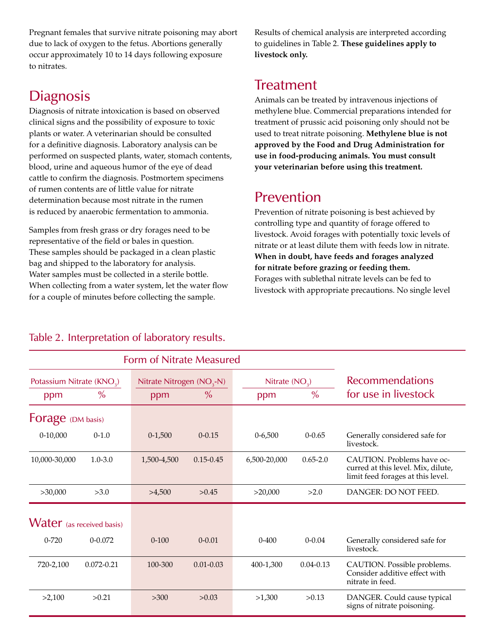Pregnant females that survive nitrate poisoning may abort due to lack of oxygen to the fetus. Abortions generally occur approximately 10 to 14 days following exposure to nitrates.

## **Diagnosis**

Diagnosis of nitrate intoxication is based on observed clinical signs and the possibility of exposure to toxic plants or water. A veterinarian should be consulted for a definitive diagnosis. Laboratory analysis can be performed on suspected plants, water, stomach contents, blood, urine and aqueous humor of the eye of dead cattle to confirm the diagnosis. Postmortem specimens of rumen contents are of little value for nitrate determination because most nitrate in the rumen is reduced by anaerobic fermentation to ammonia.

Samples from fresh grass or dry forages need to be representative of the field or bales in question. These samples should be packaged in a clean plastic bag and shipped to the laboratory for analysis. Water samples must be collected in a sterile bottle. When collecting from a water system, let the water flow for a couple of minutes before collecting the sample.

Results of chemical analysis are interpreted according to guidelines in Table 2. **These guidelines apply to livestock only.**

# **Treatment**

Animals can be treated by intravenous injections of methylene blue. Commercial preparations intended for treatment of prussic acid poisoning only should not be used to treat nitrate poisoning. **Methylene blue is not approved by the Food and Drug Administration for use in food-producing animals. You must consult your veterinarian before using this treatment.**

## Prevention

Prevention of nitrate poisoning is best achieved by controlling type and quantity of forage offered to livestock. Avoid forages with potentially toxic levels of nitrate or at least dilute them with feeds low in nitrate. **When in doubt, have feeds and forages analyzed for nitrate before grazing or feeding them.** Forages with sublethal nitrate levels can be fed to livestock with appropriate precautions. No single level

#### Form of Nitrate Measured Potassium Nitrate  $(KNO<sub>3</sub>)$ Nitrate Nitrogen (NO<sub>3</sub>-N) Nitrate (NO<sub>3</sub>) **Recommendations** ppm % ppm % ppm % for use in livestock Forage (DM basis) 0-10,000 0-1.0 0-1,500 0-0.15 0-6,500 0-0.65 Generally considered safe for livestock. 10,000-30,000 1.0-3.0 1,500-4,500 0.15-0.45 6,500-20,000 0.65-2.0 CAUTION. Problems have occurred at this level. Mix, dilute, limit feed forages at this level. >30,000 >3.0 >4,500 >0.45 >20,000 >2.0 DANGER: DO NOT FEED. Water (as received basis) 0-720 0-0.072 0-100 0-0.01 0-400 0-0.04 Generally considered safe for livestock. 720-2,100 0.072-0.21 100-300 0.01-0.03 400-1,300 0.04-0.13 CAUTION. Possible problems. Consider additive effect with nitrate in feed. >2,100 >0.21 >300 >0.03 >1,300 >0.13 DANGER. Could cause typical signs of nitrate poisoning.

### Table 2. Interpretation of laboratory results.